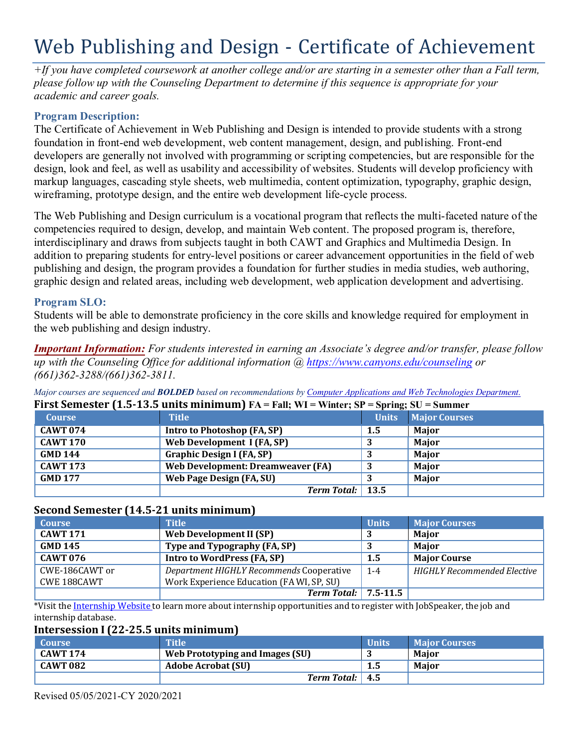# Web Publishing and Design - Certificate of Achievement

 *academic and career goals. +If you have completed coursework at another college and/or are starting in a semester other than a Fall term, please follow up with the Counseling Department to determine if this sequence is appropriate for your*

### **Program Description:**

 The Certificate of Achievement in Web Publishing and Design is intended to provide students with a strong developers are generally not involved with programming or scripting competencies, but are responsible for the wireframing, prototype design, and the entire web development life-cycle process. foundation in front-end web development, web content management, design, and publishing. Front-end design, look and feel, as well as usability and accessibility of websites. Students will develop proficiency with markup languages, cascading style sheets, web multimedia, content optimization, typography, graphic design,

 The Web Publishing and Design curriculum is a vocational program that reflects the multi-faceted nature of the competencies required to design, develop, and maintain Web content. The proposed program is, therefore, addition to preparing students for entry-level positions or career advancement opportunities in the field of web publishing and design, the program provides a foundation for further studies in media studies, web authoring, graphic design and related areas, including web development, web application development and advertising. interdisciplinary and draws from subjects taught in both CAWT and Graphics and Multimedia Design. In

#### **Program SLO:**

 Students will be able to demonstrate proficiency in the core skills and knowledge required for employment in the web publishing and design industry.

 *up with the Counseling Office for additional information [@ https://www.canyons.edu/counseling](https://www.canyons.edu/counseling) or Important Information: For students interested in earning an Associate's degree and/or transfer, please follow (661)362-3288/(661)362-3811.*

| First Semester (1.5-13.5 units minimum) $FA = Fall$ ; $WI = Winter$ ; $SP = Spring$ ; $SU = Summer$ |                                   |              |                      |  |  |
|-----------------------------------------------------------------------------------------------------|-----------------------------------|--------------|----------------------|--|--|
| <b>Course</b>                                                                                       | <b>Title</b>                      | <b>Units</b> | <b>Major Courses</b> |  |  |
| <b>CAWT 074</b>                                                                                     | Intro to Photoshop (FA, SP)       | 1.5          | Major                |  |  |
| <b>CAWT 170</b>                                                                                     | Web Development I (FA, SP)        |              | <b>Major</b>         |  |  |
| <b>GMD 144</b>                                                                                      | <b>Graphic Design I (FA, SP)</b>  |              | <b>Major</b>         |  |  |
| <b>CAWT 173</b>                                                                                     | Web Development: Dreamweaver (FA) |              | <b>Major</b>         |  |  |
| GMD 177                                                                                             | <b>Web Page Design (FA, SU)</b>   |              | <b>Major</b>         |  |  |
|                                                                                                     | Term Total: 13.5                  |              |                      |  |  |

 *Major courses are sequenced and BOLDED based on recommendations by Computer Applications and Web Technologies Department.* 

#### **Second Semester (14.5-21 units minimum)**

| <b>Course</b>      | <b>Title</b>                              | <b>Units</b> | <b>Major Courses</b>        |
|--------------------|-------------------------------------------|--------------|-----------------------------|
| <b>CAWT 171</b>    | Web Development II (SP)                   |              | Major                       |
| <b>GMD 145</b>     | Type and Typography (FA, SP)              |              | Maior                       |
| <b>CAWT 076</b>    | Intro to WordPress (FA, SP)               | 1.5          | <b>Major Course</b>         |
| CWE-186CAWT or     | Department HIGHLY Recommends Cooperative  | $1-4$        | HIGHLY Recommended Elective |
| <b>CWE 188CAWT</b> | Work Experience Education (FA WI, SP, SU) |              |                             |
|                    | Term Total: $\vert 7.5 - 11.5 \vert$      |              |                             |

 \*Visit the Internship Website to learn more about internship opportunities and to register with JobSpeaker, the job and internship database.

#### **Intersession I (22-25.5 units minimum)**

| Course          | <b>Title</b>                    | <b>Units</b> | <b>Maior Courses</b> |
|-----------------|---------------------------------|--------------|----------------------|
| <b>CAWT 174</b> | Web Prototyping and Images (SU) |              | Maior                |
| <b>CAWT 082</b> | <b>Adobe Acrobat (SU)</b>       | 1.5          | Maior                |
|                 | Term Total: 4.5                 |              |                      |

Revised 05/05/2021-CY 2020/2021